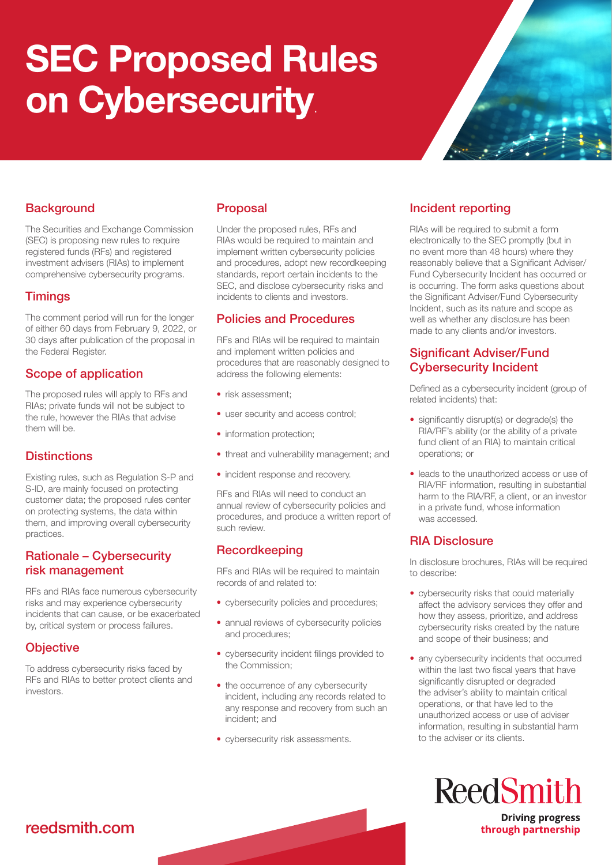# SEC Proposed Rules on Cybersecurity.



# **Background**

The Securities and Exchange Commission (SEC) is proposing new rules to require registered funds (RFs) and registered investment advisers (RIAs) to implement comprehensive cybersecurity programs.

### **Timings**

The comment period will run for the longer of either 60 days from February 9, 2022, or 30 days after publication of the proposal in the Federal Register.

# Scope of application

The proposed rules will apply to RFs and RIAs; private funds will not be subject to the rule, however the RIAs that advise them will be.

# **Distinctions**

Existing rules, such as Regulation S-P and S-ID, are mainly focused on protecting customer data; the proposed rules center on protecting systems, the data within them, and improving overall cybersecurity practices.

#### Rationale – Cybersecurity risk management

RFs and RIAs face numerous cybersecurity risks and may experience cybersecurity incidents that can cause, or be exacerbated by, critical system or process failures.

# **Objective**

To address cybersecurity risks faced by RFs and RIAs to better protect clients and investors.

# Proposal

Under the proposed rules, RFs and RIAs would be required to maintain and implement written cybersecurity policies and procedures, adopt new recordkeeping standards, report certain incidents to the SEC, and disclose cybersecurity risks and incidents to clients and investors.

### Policies and Procedures

RFs and RIAs will be required to maintain and implement written policies and procedures that are reasonably designed to address the following elements:

- risk assessment;
- user security and access control;
- information protection;
- threat and vulnerability management; and
- incident response and recovery.

RFs and RIAs will need to conduct an annual review of cybersecurity policies and procedures, and produce a written report of such review.

# Recordkeeping

RFs and RIAs will be required to maintain records of and related to:

- cybersecurity policies and procedures;
- annual reviews of cybersecurity policies and procedures;
- cybersecurity incident filings provided to the Commission;
- the occurrence of any cybersecurity incident, including any records related to any response and recovery from such an incident; and
- cybersecurity risk assessments.

# Incident reporting

RIAs will be required to submit a form electronically to the SEC promptly (but in no event more than 48 hours) where they reasonably believe that a Significant Adviser/ Fund Cybersecurity Incident has occurred or is occurring. The form asks questions about the Significant Adviser/Fund Cybersecurity Incident, such as its nature and scope as well as whether any disclosure has been made to any clients and/or investors.

# Significant Adviser/Fund Cybersecurity Incident

Defined as a cybersecurity incident (group of related incidents) that:

- significantly disrupt(s) or degrade(s) the RIA/RF's ability (or the ability of a private fund client of an RIA) to maintain critical operations; or
- leads to the unauthorized access or use of RIA/RF information, resulting in substantial harm to the RIA/RF, a client, or an investor in a private fund, whose information was accessed.

### RIA Disclosure

In disclosure brochures, RIAs will be required to describe:

- cybersecurity risks that could materially affect the advisory services they offer and how they assess, prioritize, and address cybersecurity risks created by the nature and scope of their business; and
- any cybersecurity incidents that occurred within the last two fiscal years that have significantly disrupted or degraded the adviser's ability to maintain critical operations, or that have led to the unauthorized access or use of adviser information, resulting in substantial harm to the adviser or its clients.



**Driving progress** through partnership

# reedsmith.com